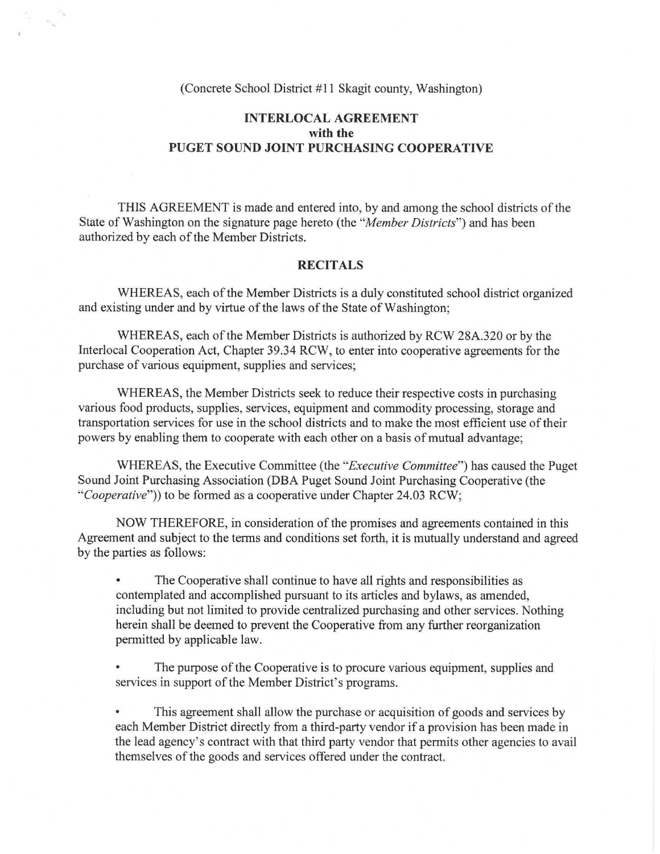## (Concrete School District #11 Skagit county, Washington)

## **INTERLOCAL AGREEMENT with the PUGET SOUND JOINT PURCHASING COOPERATIVE**

THIS AGREEMENT is made and entered into, by and among the school districts of the State of Washington on the signature page hereto (the *"Member Districts")* and has been authorized by each of the Member Districts.

## **RECITALS**

WHEREAS, each of the Member Districts is a duly constituted school district organized and existing under and by virtue of the laws of the State of Washington;

WHEREAS, each of the Member Districts is authorized by RCW 28A.320 or by the Interlocal Cooperation Act, Chapter 39.34 RCW, to enter into cooperative agreements for the purchase of various equipment, supplies and services;

WHEREAS, the Member Districts seek to reduce their respective costs in purchasing various food products, supplies, services, equipment and commodity processing, storage and transportation services for use in the school districts and to make the most efficient use oftheir powers by enabling them to cooperate with each other on a basis of mutual advantage;

WHEREAS, the Executive Committee (the *"Executive Committee")* has caused the Puget Sound Joint Purchasing Association (OBA Puget Sound Joint Purchasing Cooperative (the *"Cooperative"))* to be formed as a cooperative under Chapter 24.03 RCW;

NOW THEREFORE, in consideration of the promises and agreements contained in this Agreement and subject to the terms and conditions set forth, it is mutually understand and agreed by the parties as follows:

The Cooperative shall continue to have all rights and responsibilities as contemplated and accomplished pursuant to its articles and bylaws, as amended, including but not limited to provide centralized purchasing and other services. Nothing herein shall be deemed to prevent the Cooperative from any further reorganization permitted by applicable law.

The purpose of the Cooperative is to procure various equipment, supplies and services in support of the Member District's programs.

This agreement shall allow the purchase or acquisition of goods and services by each Member District directly from a third-party vendor if a provision has been made in the lead agency's contract with that third party vendor that permits other agencies to avail themselves of the goods and services offered under the contract.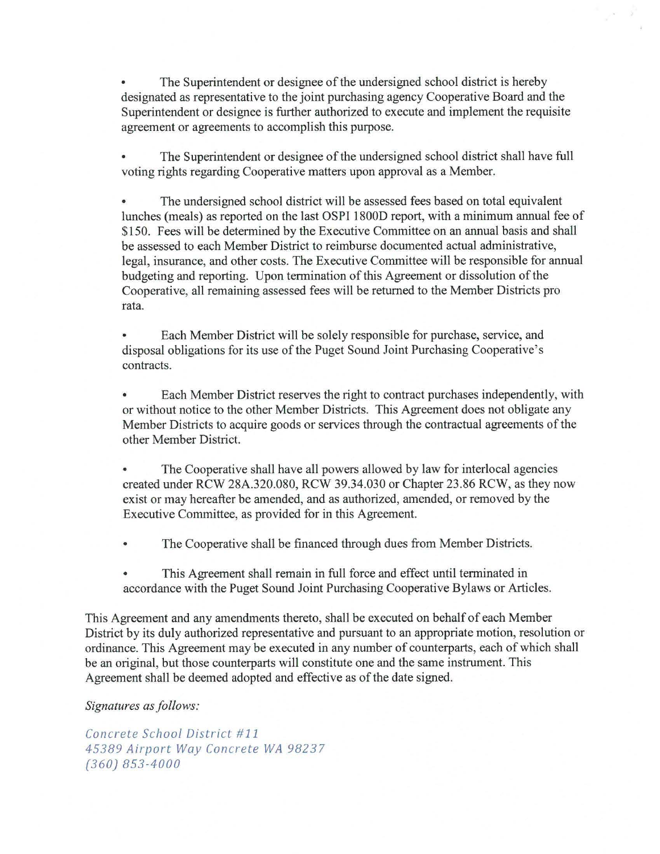The Superintendent or designee of the undersigned school district is hereby designated as representative to the joint purchasing agency Cooperative Board and the Superintendent or designee is further authorized to execute and implement the requisite agreement or agreements to accomplish this purpose.

The Superintendent or designee of the undersigned school district shall have full voting rights regarding Cooperative matters upon approval as a Member.

The undersigned school district will be assessed fees based on total equivalent lunches (meals) as reported on the last OSPI 1800D report, with a minimum annual fee of \$150. Fees will be determined by the Executive Committee on an annual basis and shall be assessed to each Member District to reimburse documented actual administrative, legal, insurance, and other costs. The Executive Committee will be responsible for annual budgeting and reporting. Upon termination of this Agreement or dissolution of the Cooperative, all remaining assessed fees will be returned to the Member Districts pro rata.

• Each Member District will be solely responsible for purchase, service, and disposal obligations for its use of the Puget Sound Joint Purchasing Cooperative's contracts.

Each Member District reserves the right to contract purchases independently, with or without notice to the other Member Districts. This Agreement does not obligate any Member Districts to acquire goods or services through the contractual agreements of the other Member District.

The Cooperative shall have all powers allowed by law for interlocal agencies created under RCW 28A.320.080, RCW 39.34.030 or Chapter 23.86 RCW, as they now exist or may hereafter be amended, and as authorized, amended, or removed by the Executive Committee, as provided for in this Agreement.

The Cooperative shall be financed through dues from Member Districts.

This Agreement shall remain in full force and effect until terminated in accordance with the Puget Sound Joint Purchasing Cooperative Bylaws or Articles.

This Agreement and any amendments thereto, shall be executed on behalf of each Member District by its duly authorized representative and pursuant to an appropriate motion, resolution or ordinance. This Agreement may be executed in any number of counterparts, each of which shall be an original, but those counterparts will constitute one and the same instrument. This Agreement shall be deemed adopted and effective as of the date signed.

## Signatures as follows:

*Concrete School District #11 45389 Airport Way Concrete WA 98237 (360) 853-4000*